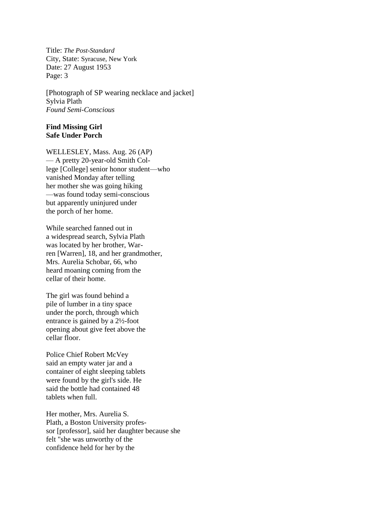Title: *The Post-Standard* City, State: Syracuse, New York Date: 27 August 1953 Page: 3

[Photograph of SP wearing necklace and jacket] Sylvia Plath *Found Semi-Conscious*

## **Find Missing Girl Safe Under Porch**

WELLESLEY, Mass. Aug. 26 (AP) — A pretty 20-year-old Smith College [College] senior honor student—who vanished Monday after telling her mother she was going hiking —was found today semi-conscious but apparently uninjured under the porch of her home.

While searched fanned out in a widespread search, Sylvia Plath was located by her brother, Warren [Warren], 18, and her grandmother, Mrs. Aurelia Schobar, 66, who heard moaning coming from the cellar of their home.

The girl was found behind a pile of lumber in a tiny space under the porch, through which entrance is gained by a 2½-foot opening about give feet above the cellar floor.

Police Chief Robert McVey said an empty water jar and a container of eight sleeping tablets were found by the girl's side. He said the bottle had contained 48 tablets when full.

Her mother, Mrs. Aurelia S. Plath, a Boston University professor [professor], said her daughter because she felt "she was unworthy of the confidence held for her by the